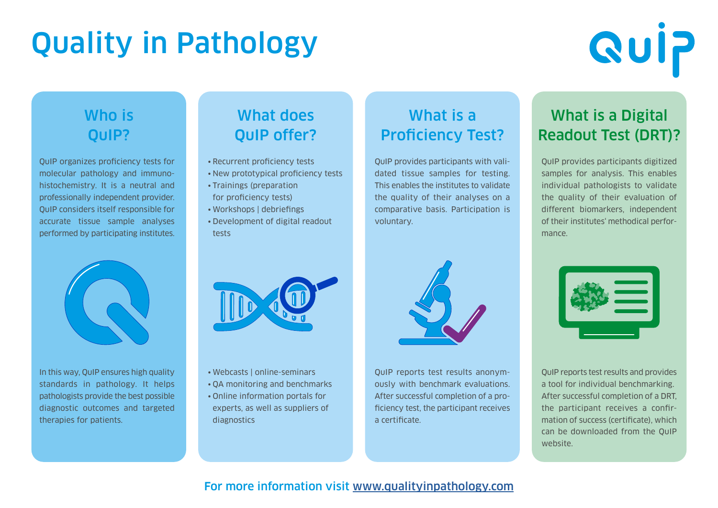# Quality in Pathology

# **Quip**

#### Who is QuIP?

QuIP organizes proficiency tests for molecular pathology and immunohistochemistry. It is a neutral and professionally independent provider. QuIP considers itself responsible for accurate tissue sample analyses performed by participating institutes.



In this way, QuIP ensures high quality standards in pathology. It helps pathologists provide the best possible diagnostic outcomes and targeted therapies for patients.

## What does QuIP offer?

- Recurrent proficiency tests
- New prototypical proficiency tests
- Trainings (preparation for proficiency tests)
- Workshops | debriefings
- Development of digital readout tests

- Webcasts | online-seminars
- QA monitoring and benchmarks
- Online information portals for experts, as well as suppliers of diagnostics



What is a

Proficiency Test?

QuIP provides participants with validated tissue samples for testing. This enables the institutes to validate the quality of their analyses on a comparative basis. Participation is

voluntary.

QuIP reports test results anonymously with benchmark evaluations. After successful completion of a proficiency test, the participant receives a certificate.

## What is a Digital Readout Test (DRT)?

QuIP provides participants digitized samples for analysis. This enables individual pathologists to validate the quality of their evaluation of different biomarkers, independent of their institutes' methodical performance.



QuIP reports test results and provides a tool for individual benchmarking. After successful completion of a DRT, the participant receives a confirmation of success (certificate), which can be downloaded from the QuIP website.

#### For more information visit [www.qualityinpathology.com](http://www.qualityinpathology.com)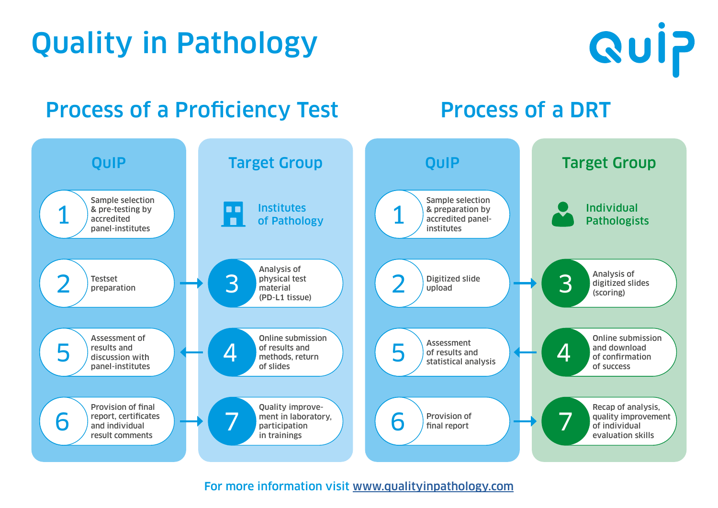



## Quality in Pathology

For more information visit [www.qualityinpathology.com](http://www.qualityinpathology.com)